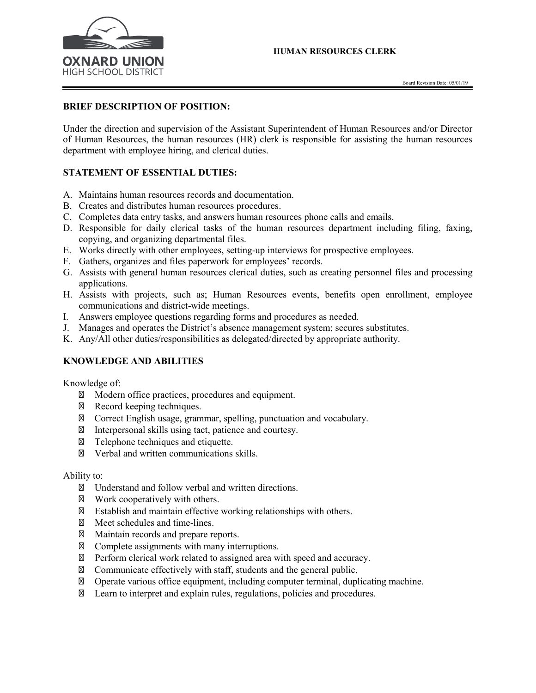

## **BRIEF DESCRIPTION OF POSITION:**

Under the direction and supervision of the Assistant Superintendent of Human Resources and/or Director of Human Resources, the human resources (HR) clerk is responsible for assisting the human resources department with employee hiring, and clerical duties.

## **STATEMENT OF ESSENTIAL DUTIES:**

- A. Maintains human resources records and documentation.
- B. Creates and distributes human resources procedures.
- C. Completes data entry tasks, and answers human resources phone calls and emails.
- D. Responsible for daily clerical tasks of the human resources department including filing, faxing, copying, and organizing departmental files.
- E. Works directly with other employees, setting-up interviews for prospective employees.
- F. Gathers, organizes and files paperwork for employees' records.
- G. Assists with general human resources clerical duties, such as creating personnel files and processing applications.
- H. Assists with projects, such as; Human Resources events, benefits open enrollment, employee communications and district-wide meetings.
- I. Answers employee questions regarding forms and procedures as needed.
- J. Manages and operates the District's absence management system; secures substitutes.
- K. Any/All other duties/responsibilities as delegated/directed by appropriate authority.

## **KNOWLEDGE AND ABILITIES**

Knowledge of:

Modern office practices, procedures and equipment. Record keeping techniques. Correct English usage, grammar, spelling, punctuation and vocabulary. Interpersonal skills using tact, patience and courtesy. Telephone techniques and etiquette. Verbal and written communications skills.

Ability to:

Understand and follow verbal and written directions.

Work cooperatively with others.

Establish and maintain effective working relationships with others.

Meet schedules and time-lines.

Maintain records and prepare reports.

Complete assignments with many interruptions.

Perform clerical work related to assigned area with speed and accuracy.

Communicate effectively with staff, students and the general public.

Operate various office equipment, including computer terminal, duplicating machine.

Learn to interpret and explain rules, regulations, policies and procedures.